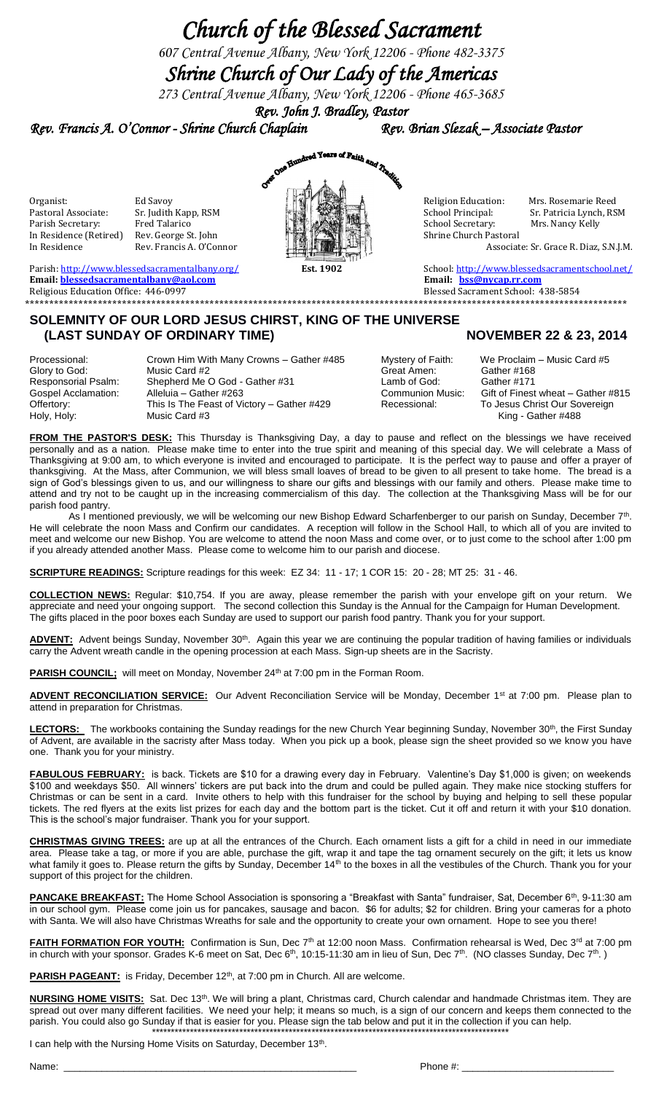## *Church of the Blessed Sacrament*

*607 Central Avenue Albany, New York 12206 - Phone 482-3375*

## *Shrine Church of Our Lady of the Americas*

*273 Central Avenue Albany, New York 12206 - Phone 465-3685 Rev. John J. Bradley, Pastor* 

*Rev. Francis A. O'Connor - Shrine Church Chaplain Rev. Brian Slezak – Associate Pastor* 



In Residence Rev. Francis A. O'Connor Associate: Sr. Grace R. Diaz, S.N.J.M.

Parish: http://www.blessedsacramentalbany.org/**1986 Est. 1902 Est. 1902** School: <u><http://www.blessedsacramentschool.net/></u><br> **Email:** blessedsacramentalbany@aol.com **Email:** bss@nycap.rr.com **Email: [blessedsacramentalbany@aol.com](mailto:blessedsacramentalbany@aol.com)** Religious Education Office: 446-0997Blessed Sacrament School: 438-5854 **\*\*\*\*\*\*\*\*\*\*\*\*\*\*\*\*\*\*\*\*\*\*\*\*\*\*\*\*\*\*\*\*\*\*\*\*\*\*\*\*\*\*\*\*\*\*\*\*\*\*\*\*\*\*\*\*\*\*\*\*\*\*\*\*\*\*\*\*\*\*\*\*\*\*\*\*\*\*\*\*\*\*\*\*\*\*\*\*\*\*\*\*\*\*\*\*\*\*\*\*\*\*\*\*\*\*\*\*\*\*\*\*\*\*\*\*\*\*\*\*\*\*\*\***

## **SOLEMNITY OF OUR LORD JESUS CHIRST, KING OF THE UNIVERSE (LAST SUNDAY OF ORDINARY TIME)** NOVEMBER 22 & 23, 2014

Processional: Crown Him With Many Crowns – Gather #485 Mystery of Faith: We Proclaim – Music Card #5<br>
Glory to God: Music Card #2 Great Amen: Gather #168 Glory to God: Music Card #2 Great Amen: Gather #168<br>
Responsorial Psalm: Shepherd Me O God - Gather #31 Lamb of God: Gather #171 Responsorial Psalm: Shepherd Me O God - Gather #31 Lamb of God:<br>
Gospel Acclamation: Alleluia – Gather #263 Communion Music: Gospel Acclamation: Alleluia – Gather #263 Communion Music: Gift of Finest wheat – Gather #815<br>Offertory: This Is The Feast of Victory – Gather #429 Recessional: To Jesus Christ Our Sovereign Offertory: This Is The Feast of Victory – Gather #429<br>Holy, Holy: Music Card #3 Holy, Holy: Music Card #3 King - Gather #488

**FROM THE PASTOR'S DESK:** This Thursday is Thanksgiving Day, a day to pause and reflect on the blessings we have received personally and as a nation. Please make time to enter into the true spirit and meaning of this special day. We will celebrate a Mass of Thanksgiving at 9:00 am, to which everyone is invited and encouraged to participate. It is the perfect way to pause and offer a prayer of thanksgiving. At the Mass, after Communion, we will bless small loaves of bread to be given to all present to take home. The bread is a sign of God's blessings given to us, and our willingness to share our gifts and blessings with our family and others. Please make time to attend and try not to be caught up in the increasing commercialism of this day. The collection at the Thanksgiving Mass will be for our parish food pantry.

As I mentioned previously, we will be welcoming our new Bishop Edward Scharfenberger to our parish on Sunday, December 7<sup>th</sup>. He will celebrate the noon Mass and Confirm our candidates. A reception will follow in the School Hall, to which all of you are invited to meet and welcome our new Bishop. You are welcome to attend the noon Mass and come over, or to just come to the school after 1:00 pm if you already attended another Mass. Please come to welcome him to our parish and diocese.

**SCRIPTURE READINGS:** Scripture readings for this week: EZ 34: 11 - 17; 1 COR 15: 20 - 28; MT 25: 31 - 46.

**COLLECTION NEWS:** Regular: \$10,754. If you are away, please remember the parish with your envelope gift on your return. We appreciate and need your ongoing support. The second collection this Sunday is the Annual for the Campaign for Human Development. The gifts placed in the poor boxes each Sunday are used to support our parish food pantry. Thank you for your support.

ADVENT: Advent beings Sunday, November 30<sup>th</sup>. Again this year we are continuing the popular tradition of having families or individuals carry the Advent wreath candle in the opening procession at each Mass. Sign-up sheets are in the Sacristy.

PARISH COUNCIL; will meet on Monday, November 24<sup>th</sup> at 7:00 pm in the Forman Room.

ADVENT RECONCILIATION SERVICE: Our Advent Reconciliation Service will be Monday, December 1<sup>st</sup> at 7:00 pm. Please plan to attend in preparation for Christmas.

LECTORS: The workbooks containing the Sunday readings for the new Church Year beginning Sunday, November 30<sup>th</sup>, the First Sunday of Advent, are available in the sacristy after Mass today. When you pick up a book, please sign the sheet provided so we know you have one. Thank you for your ministry.

**FABULOUS FEBRUARY:** is back. Tickets are \$10 for a drawing every day in February. Valentine's Day \$1,000 is given; on weekends \$100 and weekdays \$50. All winners' tickers are put back into the drum and could be pulled again. They make nice stocking stuffers for Christmas or can be sent in a card. Invite others to help with this fundraiser for the school by buying and helping to sell these popular tickets. The red flyers at the exits list prizes for each day and the bottom part is the ticket. Cut it off and return it with your \$10 donation. This is the school's major fundraiser. Thank you for your support.

**CHRISTMAS GIVING TREES:** are up at all the entrances of the Church. Each ornament lists a gift for a child in need in our immediate area. Please take a tag, or more if you are able, purchase the gift, wrap it and tape the tag ornament securely on the gift; it lets us know what family it goes to. Please return the gifts by Sunday, December 14<sup>th</sup> to the boxes in all the vestibules of the Church. Thank you for your support of this project for the children.

**PANCAKE BREAKFAST:** The Home School Association is sponsoring a "Breakfast with Santa" fundraiser, Sat, December 6<sup>th</sup>, 9-11:30 am in our school gym. Please come join us for pancakes, sausage and bacon. \$6 for adults; \$2 for children. Bring your cameras for a photo with Santa. We will also have Christmas Wreaths for sale and the opportunity to create your own ornament. Hope to see you there!

FAITH FORMATION FOR YOUTH: Confirmation is Sun, Dec 7<sup>th</sup> at 12:00 noon Mass. Confirmation rehearsal is Wed, Dec 3<sup>rd</sup> at 7:00 pm in church with your sponsor. Grades K-6 meet on Sat, Dec 6<sup>th</sup>, 10:15-11:30 am in lieu of Sun, Dec 7<sup>th</sup>. (NO classes Sunday, Dec 7<sup>th</sup>.)

PARISH PAGEANT: is Friday, December 12<sup>th</sup>, at 7:00 pm in Church. All are welcome.

**NURSING HOME VISITS:** Sat. Dec 13th. We will bring a plant, Christmas card, Church calendar and handmade Christmas item. They are spread out over many different facilities. We need your help; it means so much, is a sign of our concern and keeps them connected to the parish. You could also go Sunday if that is easier for you. Please sign the tab below and put it in the collection if you can help. \*\*\*\*\*\*\*\*\*\*\*\*\*\*\*\*\*\*\*\*\*\*\*\*\*\*\*\*\*\*\*\*\*\*\*\*\*\*\*\*\*\*\*\*\*\*\*\*\*\*\*\*\*\*\*\*\*\*\*\*\*\*\*\*\*\*\*\*\*\*\*\*\*\*\*\*\*\*\*\*\*\*\*\*\*\*\*\*\*\*\*\*\*\*

I can help with the Nursing Home Visits on Saturday, December 13<sup>th</sup>.